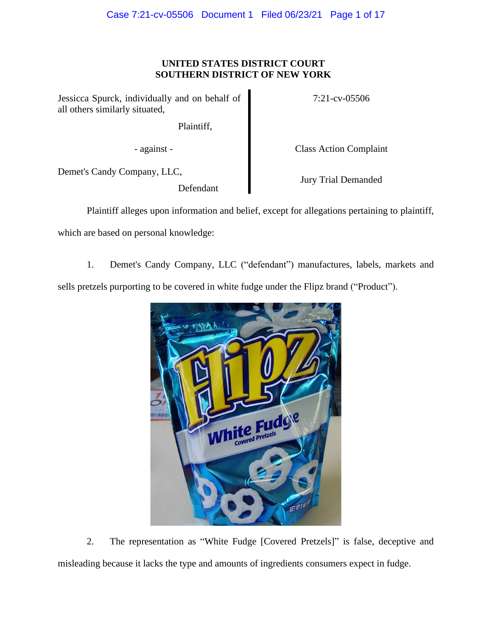# **UNITED STATES DISTRICT COURT SOUTHERN DISTRICT OF NEW YORK**

Jessicca Spurck, individually and on behalf of all others similarly situated,

Plaintiff,

- against - Class Action Complaint

7:21-cv-05506

Demet's Candy Company, LLC,

Defendant

Jury Trial Demanded

Plaintiff alleges upon information and belief, except for allegations pertaining to plaintiff,

which are based on personal knowledge:

1. Demet's Candy Company, LLC ("defendant") manufactures, labels, markets and sells pretzels purporting to be covered in white fudge under the Flipz brand ("Product").



2. The representation as "White Fudge [Covered Pretzels]" is false, deceptive and misleading because it lacks the type and amounts of ingredients consumers expect in fudge.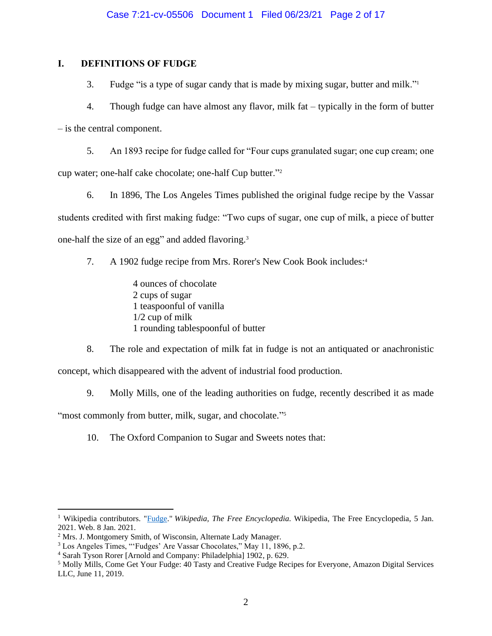# **I. DEFINITIONS OF FUDGE**

3. Fudge "is a type of sugar candy that is made by mixing sugar, butter and milk."<sup>1</sup>

4. Though fudge can have almost any flavor, milk fat – typically in the form of butter – is the central component.

5. An 1893 recipe for fudge called for "Four cups granulated sugar; one cup cream; one cup water; one-half cake chocolate; one-half Cup butter."<sup>2</sup>

6. In 1896, The Los Angeles Times published the original fudge recipe by the Vassar students credited with first making fudge: "Two cups of sugar, one cup of milk, a piece of butter one-half the size of an egg" and added flavoring.<sup>3</sup>

7. A 1902 fudge recipe from Mrs. Rorer's New Cook Book includes: 4

4 ounces of chocolate 2 cups of sugar 1 teaspoonful of vanilla 1/2 cup of milk 1 rounding tablespoonful of butter

8. The role and expectation of milk fat in fudge is not an antiquated or anachronistic concept, which disappeared with the advent of industrial food production.

9. Molly Mills, one of the leading authorities on fudge, recently described it as made

"most commonly from butter, milk, sugar, and chocolate."<sup>5</sup>

10. The Oxford Companion to Sugar and Sweets notes that:

<sup>1</sup> Wikipedia contributors. ["Fudge.](https://en.wikipedia.org/wiki/Fudge)" *Wikipedia, The Free Encyclopedia*. Wikipedia, The Free Encyclopedia, 5 Jan. 2021. Web. 8 Jan. 2021.

<sup>2</sup> Mrs. J. Montgomery Smith, of Wisconsin, Alternate Lady Manager.

<sup>3</sup> Los Angeles Times, "'Fudges' Are Vassar Chocolates," May 11, 1896, p.2.

<sup>4</sup> Sarah Tyson Rorer [Arnold and Company: Philadelphia] 1902, p. 629.

<sup>5</sup> Molly Mills, Come Get Your Fudge: 40 Tasty and Creative Fudge Recipes for Everyone, Amazon Digital Services LLC, June 11, 2019.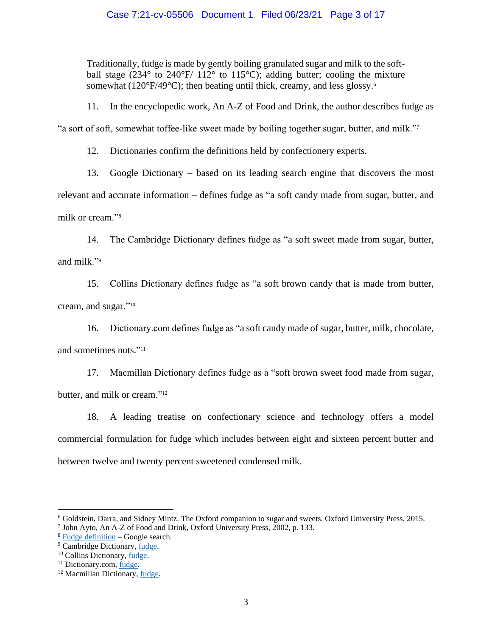Traditionally, fudge is made by gently boiling granulated sugar and milk to the softball stage (234 $\degree$  to 240 $\degree$ F/ 112 $\degree$  to 115 $\degree$ C); adding butter; cooling the mixture somewhat ( $120^{\circ}F/49^{\circ}C$ ); then beating until thick, creamy, and less glossy.<sup>6</sup>

11. In the encyclopedic work, An A-Z of Food and Drink, the author describes fudge as

"a sort of soft, somewhat toffee-like sweet made by boiling together sugar, butter, and milk."<sup>7</sup>

12. Dictionaries confirm the definitions held by confectionery experts.

13. Google Dictionary – based on its leading search engine that discovers the most relevant and accurate information – defines fudge as "a soft candy made from sugar, butter, and milk or cream." 8

14. The Cambridge Dictionary defines fudge as "a soft sweet made from sugar, butter, and milk."<sup>9</sup>

15. Collins Dictionary defines fudge as "a soft brown candy that is made from butter, cream, and sugar." 10

16. Dictionary.com defines fudge as "a soft candy made of sugar, butter, milk, chocolate, and sometimes nuts." 11

17. Macmillan Dictionary defines fudge as a "soft brown sweet food made from sugar, butter, and milk or cream."<sup>12</sup>

18. A leading treatise on confectionary science and technology offers a model commercial formulation for fudge which includes between eight and sixteen percent butter and between twelve and twenty percent sweetened condensed milk.

<sup>6</sup> Goldstein, Darra, and Sidney Mintz. The Oxford companion to sugar and sweets. Oxford University Press, 2015.

<sup>7</sup> John Ayto, An A-Z of Food and Drink, Oxford University Press, 2002, p. 133.

<sup>8</sup> [Fudge definition](https://www.google.com/search?q=fudge+definition&rlz=1C1GCEA_enUS893US893&oq=fudge+defi&aqs=chrome.0.0i457j69i57j0j0i22i30j0i22i30i395l6.1835j1j9&sourceid=chrome&ie=UTF-8) – Google search.

<sup>&</sup>lt;sup>9</sup> Cambridge Dictionary, [fudge.](https://dictionary.cambridge.org/us/dictionary/english/fudge)

<sup>10</sup> Collins Dictionary, [fudge.](https://www.collinsdictionary.com/us/dictionary/english/fudge)

<sup>&</sup>lt;sup>11</sup> Dictionary.com, <u>fudge</u>.

<sup>12</sup> Macmillan Dictionary[, fudge.](https://www.macmillandictionaryblog.com/fudge)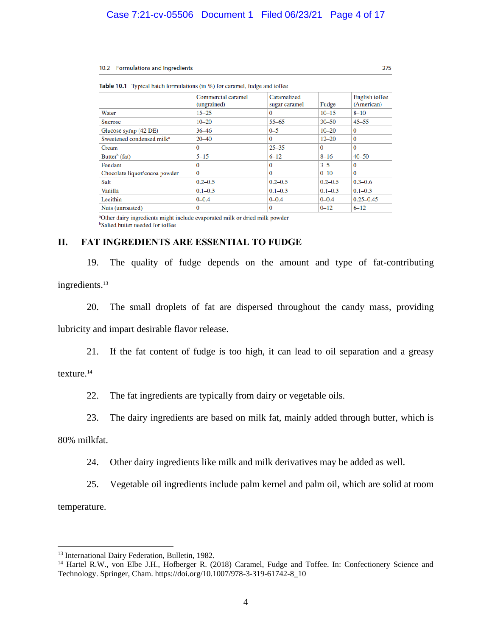#### 10.2 Formulations and Ingredients

| Table 10.1 Typical batch formulations (in %) for caramel, fudge and toffee |                                   |                              |             |                              |
|----------------------------------------------------------------------------|-----------------------------------|------------------------------|-------------|------------------------------|
|                                                                            | Commercial caramel<br>(ungrained) | Caramelized<br>sugar caramel | Fudge       | English toffee<br>(American) |
| Water                                                                      | $15 - 25$                         | $\Omega$                     | $10 - 15$   | $8 - 10$                     |
| <b>Sucrose</b>                                                             | $10 - 20$                         | $55 - 65$                    | $30 - 50$   | $45 - 55$                    |
| Glucose syrup (42 DE)                                                      | 36 46                             | $0 - 5$                      | $10 - 20$   | $\Omega$                     |
| Sweetened condensed milk <sup>a</sup>                                      | $20 - 40$                         | $\Omega$                     | $12 - 20$   | $\Omega$                     |
| Cream                                                                      | 0                                 | $25 - 35$                    | $\Omega$    | $\Omega$                     |
| Butter <sup>b</sup> (fat)                                                  | $5 - 15$                          | $6 - 12$                     | $8 - 16$    | $40 - 50$                    |
| Fondant                                                                    | $\Omega$                          | $\Omega$                     | $3 - 5$     | $\Omega$                     |
| Chocolate liquor/cocoa powder                                              | $\Omega$                          | $\Omega$                     | $0 - 10$    | $\Omega$                     |
| Salt                                                                       | $0.2 - 0.5$                       | $0.2 - 0.5$                  | $0.2 - 0.5$ | $0.3 - 0.6$                  |
| Vanilla                                                                    | $0.1 - 0.3$                       | $0.1 - 0.3$                  | $0.1 - 0.3$ | $0.1 - 0.3$                  |
| Lecithin                                                                   | $0 - 0.4$                         | $0 - 0.4$                    | $0 - 0.4$   | $0.25 - 0.45$                |
| Nuts (unroasted)                                                           | $\Omega$                          | $\Omega$                     | $0 - 12$    | $6 - 12$                     |

275

**Table** 

<sup>a</sup>Other dairy ingredients might include evaporated milk or dried milk powder <sup>b</sup>Salted butter needed for toffee

# **II. FAT INGREDIENTS ARE ESSENTIAL TO FUDGE**

19. The quality of fudge depends on the amount and type of fat-contributing ingredients. 13

20. The small droplets of fat are dispersed throughout the candy mass, providing lubricity and impart desirable flavor release.

21. If the fat content of fudge is too high, it can lead to oil separation and a greasy

# texture.<sup>14</sup>

22. The fat ingredients are typically from dairy or vegetable oils.

23. The dairy ingredients are based on milk fat, mainly added through butter, which is

80% milkfat.

24. Other dairy ingredients like milk and milk derivatives may be added as well.

25. Vegetable oil ingredients include palm kernel and palm oil, which are solid at room temperature.

<sup>&</sup>lt;sup>13</sup> International Dairy Federation, Bulletin, 1982.

<sup>&</sup>lt;sup>14</sup> Hartel R.W., von Elbe J.H., Hofberger R. (2018) Caramel, Fudge and Toffee. In: Confectionery Science and Technology. Springer, Cham. https://doi.org/10.1007/978-3-319-61742-8\_10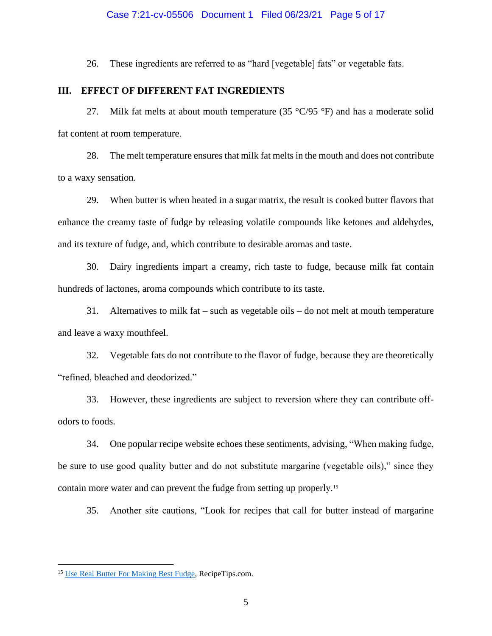# Case 7:21-cv-05506 Document 1 Filed 06/23/21 Page 5 of 17

26. These ingredients are referred to as "hard [vegetable] fats" or vegetable fats.

# **III. EFFECT OF DIFFERENT FAT INGREDIENTS**

27. Milk fat melts at about mouth temperature (35  $\degree$ C/95  $\degree$ F) and has a moderate solid fat content at room temperature.

28. The melt temperature ensures that milk fat melts in the mouth and does not contribute to a waxy sensation.

29. When butter is when heated in a sugar matrix, the result is cooked butter flavors that enhance the creamy taste of fudge by releasing volatile compounds like ketones and aldehydes, and its texture of fudge, and, which contribute to desirable aromas and taste.

30. Dairy ingredients impart a creamy, rich taste to fudge, because milk fat contain hundreds of lactones, aroma compounds which contribute to its taste.

31. Alternatives to milk fat – such as vegetable oils – do not melt at mouth temperature and leave a waxy mouthfeel.

32. Vegetable fats do not contribute to the flavor of fudge, because they are theoretically "refined, bleached and deodorized."

33. However, these ingredients are subject to reversion where they can contribute offodors to foods.

34. One popular recipe website echoes these sentiments, advising, "When making fudge, be sure to use good quality butter and do not substitute margarine (vegetable oils)," since they contain more water and can prevent the fudge from setting up properly.<sup>15</sup>

35. Another site cautions, "Look for recipes that call for butter instead of margarine

<sup>&</sup>lt;sup>15</sup> Use Real [Butter For Making Best Fudge,](https://www.recipetips.com/quick-tips-ideas/use-real-butter-for-making-best-fudge.asp) RecipeTips.com.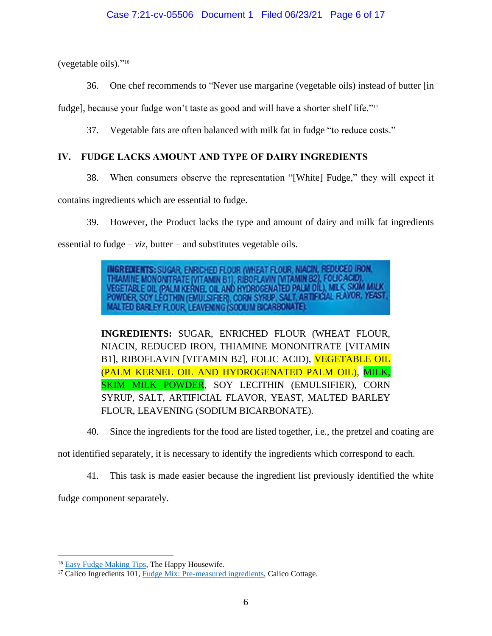(vegetable oils)." 16

36. One chef recommends to "Never use margarine (vegetable oils) instead of butter [in

fudge], because your fudge won't taste as good and will have a shorter shelf life."<sup>17</sup>

37. Vegetable fats are often balanced with milk fat in fudge "to reduce costs."

# **IV. FUDGE LACKS AMOUNT AND TYPE OF DAIRY INGREDIENTS**

38. When consumers observe the representation "[White] Fudge," they will expect it

contains ingredients which are essential to fudge.

39. However, the Product lacks the type and amount of dairy and milk fat ingredients essential to fudge –  $viz$ , butter – and substitutes vegetable oils.

> **INGREDIENTS: SUGAR, ENRICHED FLOUR (WHEAT FLOUR, NIACIN, REDUCED IRON,** THIAMINE MONONITRATE (VITAMIN B1), RIBOFLAVIN (VITAMIN B2), FOLICACIO), VEGETABLE OIL (PALM KERNEL OIL AND HYDROGENATED PALM OIL), MILK, SKIM MILK<br>POWDER, SOY LECTHIN (EMULSIFIER), CORN SYRIP, SALT, ARTIFICIAL FLAVOR, YEAS MALTED BARLEY FLOUR, LEAVENING (SODIJIM BICARBONATE).

**INGREDIENTS:** SUGAR, ENRICHED FLOUR (WHEAT FLOUR, NIACIN, REDUCED IRON, THIAMINE MONONITRATE [VITAMIN B1], RIBOFLAVIN [VITAMIN B2], FOLIC ACID), VEGETABLE OIL (PALM KERNEL OIL AND HYDROGENATED PALM OIL), MILK, SKIM MILK POWDER, SOY LECITHIN (EMULSIFIER), CORN SYRUP, SALT, ARTIFICIAL FLAVOR, YEAST, MALTED BARLEY FLOUR, LEAVENING (SODIUM BICARBONATE).

40. Since the ingredients for the food are listed together, i.e., the pretzel and coating are

not identified separately, it is necessary to identify the ingredients which correspond to each.

41. This task is made easier because the ingredient list previously identified the white

fudge component separately.

<sup>&</sup>lt;sup>16</sup> [Easy Fudge Making Tips,](https://thehappyhousewife.com/cooking/easy-fudge-making-tips/) The Happy Housewife.

<sup>&</sup>lt;sup>17</sup> Calico Ingredients 101, [Fudge Mix: Pre-measured ingredients,](https://www.calicocottage.com/make-kettle-fudge/fudge-nutrition-ingredients/only-the-best-whats-inside-our-fabulous-fudge) Calico Cottage.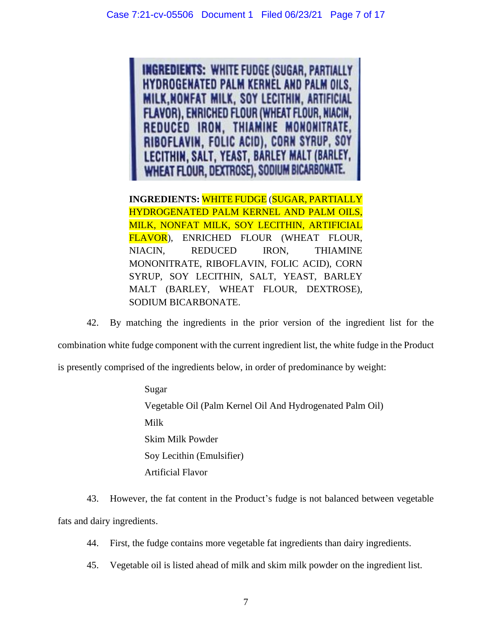**INGREDIENTS: WHITE FUDGE (SUGAR, PARTIALLY HYDROGENATED PALM KERNEL AND PALM OILS, MILK, NONFAT MILK, SOY LECITHIN, ARTIFICIAL FLAVOR), ENRICHED FLOUR (WHEAT FLOUR, NIACIN,** REDUCED IRON, THIAMINE MONONITRATE, RIBOFLAVIN, FOLIC ACID), CORN SYRUP, SOY LECITHIN, SALT, YEAST, BARLEY MALT (BARLEY, WHEAT FLOUR, DEXTROSE), SODIUM BICARBONATE.

**INGREDIENTS:** WHITE FUDGE (SUGAR, PARTIALLY HYDROGENATED PALM KERNEL AND PALM OILS, MILK, NONFAT MILK, SOY LECITHIN, ARTIFICIAL FLAVOR), ENRICHED FLOUR (WHEAT FLOUR, NIACIN, REDUCED IRON, THIAMINE MONONITRATE, RIBOFLAVIN, FOLIC ACID), CORN SYRUP, SOY LECITHIN, SALT, YEAST, BARLEY MALT (BARLEY, WHEAT FLOUR, DEXTROSE), SODIUM BICARBONATE.

42. By matching the ingredients in the prior version of the ingredient list for the combination white fudge component with the current ingredient list, the white fudge in the Product is presently comprised of the ingredients below, in order of predominance by weight:

> Sugar Vegetable Oil (Palm Kernel Oil And Hydrogenated Palm Oil) Milk Skim Milk Powder Soy Lecithin (Emulsifier) Artificial Flavor

43. However, the fat content in the Product's fudge is not balanced between vegetable fats and dairy ingredients.

44. First, the fudge contains more vegetable fat ingredients than dairy ingredients.

45. Vegetable oil is listed ahead of milk and skim milk powder on the ingredient list.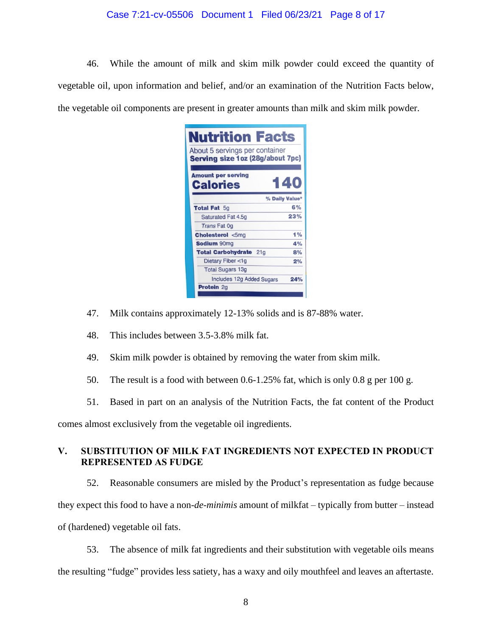# Case 7:21-cv-05506 Document 1 Filed 06/23/21 Page 8 of 17

46. While the amount of milk and skim milk powder could exceed the quantity of vegetable oil, upon information and belief, and/or an examination of the Nutrition Facts below, the vegetable oil components are present in greater amounts than milk and skim milk powder.

| <b>Nutrition Facts</b><br>About 5 servings per container<br>Serving size 1 oz (28g/about 7pc) |                |
|-----------------------------------------------------------------------------------------------|----------------|
| <b>Amount per serving</b><br><b>Calories</b>                                                  | 140            |
|                                                                                               | % Daily Value* |
| <b>Total Fat 5g</b>                                                                           | 6%             |
| Saturated Fat 4.5q                                                                            | 23%            |
| <b>Trans Fat Og</b>                                                                           |                |
| <b>Cholesterol &lt;5mg</b>                                                                    | 1%             |
| <b>Sodium 90mg</b>                                                                            | 4%             |
| <b>Total Carbohydrate</b><br>21 <sub>g</sub>                                                  | 8%             |
| Dietary Fiber <1g                                                                             | 2%             |
| <b>Total Sugars 13g</b>                                                                       |                |
| Includes 12g Added Sugars                                                                     | 24%            |
| <b>Protein 2g</b>                                                                             |                |
|                                                                                               |                |

- 47. Milk contains approximately 12-13% solids and is 87-88% water.
- 48. This includes between 3.5-3.8% milk fat.
- 49. Skim milk powder is obtained by removing the water from skim milk.
- 50. The result is a food with between 0.6-1.25% fat, which is only 0.8 g per 100 g.
- 51. Based in part on an analysis of the Nutrition Facts, the fat content of the Product

comes almost exclusively from the vegetable oil ingredients.

# **V. SUBSTITUTION OF MILK FAT INGREDIENTS NOT EXPECTED IN PRODUCT REPRESENTED AS FUDGE**

52. Reasonable consumers are misled by the Product's representation as fudge because they expect this food to have a non-*de-minimis* amount of milkfat – typically from butter – instead of (hardened) vegetable oil fats.

53. The absence of milk fat ingredients and their substitution with vegetable oils means the resulting "fudge" provides less satiety, has a waxy and oily mouthfeel and leaves an aftertaste.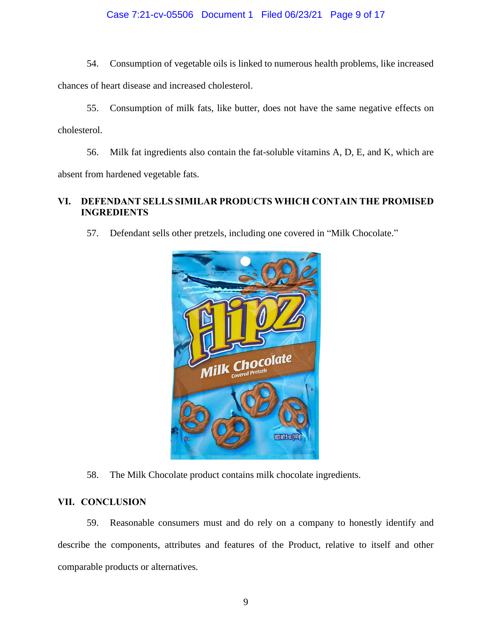# Case 7:21-cv-05506 Document 1 Filed 06/23/21 Page 9 of 17

54. Consumption of vegetable oils is linked to numerous health problems, like increased chances of heart disease and increased cholesterol.

55. Consumption of milk fats, like butter, does not have the same negative effects on cholesterol.

56. Milk fat ingredients also contain the fat-soluble vitamins A, D, E, and K, which are absent from hardened vegetable fats.

# **VI. DEFENDANT SELLS SIMILAR PRODUCTS WHICH CONTAIN THE PROMISED INGREDIENTS**

57. Defendant sells other pretzels, including one covered in "Milk Chocolate."



58. The Milk Chocolate product contains milk chocolate ingredients.

# **VII. CONCLUSION**

59. Reasonable consumers must and do rely on a company to honestly identify and describe the components, attributes and features of the Product, relative to itself and other comparable products or alternatives.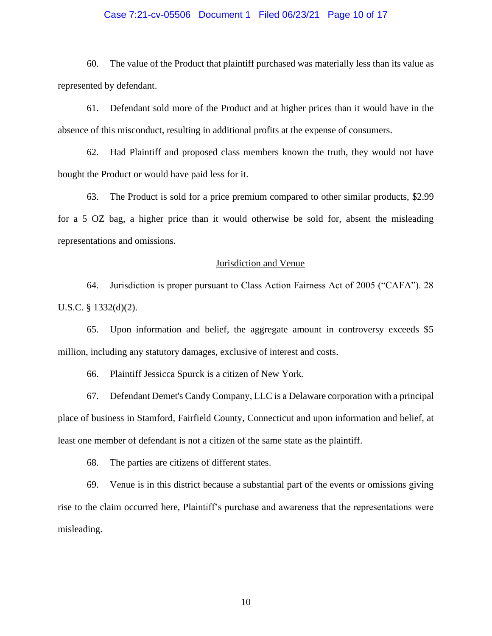# Case 7:21-cv-05506 Document 1 Filed 06/23/21 Page 10 of 17

60. The value of the Product that plaintiff purchased was materially less than its value as represented by defendant.

61. Defendant sold more of the Product and at higher prices than it would have in the absence of this misconduct, resulting in additional profits at the expense of consumers.

62. Had Plaintiff and proposed class members known the truth, they would not have bought the Product or would have paid less for it.

63. The Product is sold for a price premium compared to other similar products, \$2.99 for a 5 OZ bag, a higher price than it would otherwise be sold for, absent the misleading representations and omissions.

# Jurisdiction and Venue

64. Jurisdiction is proper pursuant to Class Action Fairness Act of 2005 ("CAFA"). 28 U.S.C. § 1332(d)(2).

65. Upon information and belief, the aggregate amount in controversy exceeds \$5 million, including any statutory damages, exclusive of interest and costs.

66. Plaintiff Jessicca Spurck is a citizen of New York.

67. Defendant Demet's Candy Company, LLC is a Delaware corporation with a principal place of business in Stamford, Fairfield County, Connecticut and upon information and belief, at least one member of defendant is not a citizen of the same state as the plaintiff.

68. The parties are citizens of different states.

69. Venue is in this district because a substantial part of the events or omissions giving rise to the claim occurred here, Plaintiff's purchase and awareness that the representations were misleading.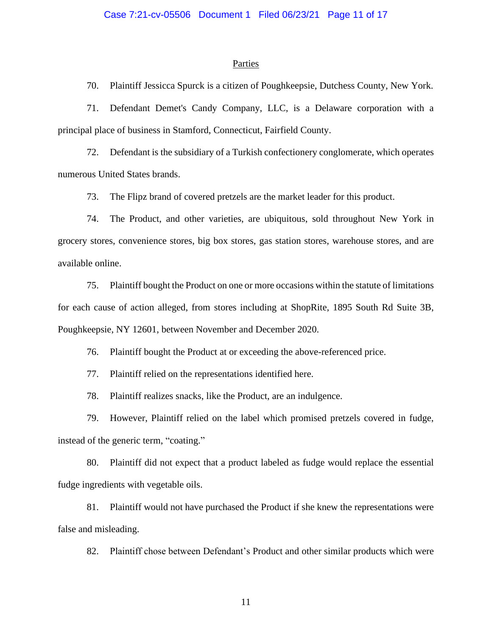### **Parties**

70. Plaintiff Jessicca Spurck is a citizen of Poughkeepsie, Dutchess County, New York.

71. Defendant Demet's Candy Company, LLC, is a Delaware corporation with a principal place of business in Stamford, Connecticut, Fairfield County.

72. Defendant is the subsidiary of a Turkish confectionery conglomerate, which operates numerous United States brands.

73. The Flipz brand of covered pretzels are the market leader for this product.

74. The Product, and other varieties, are ubiquitous, sold throughout New York in grocery stores, convenience stores, big box stores, gas station stores, warehouse stores, and are available online.

75. Plaintiff bought the Product on one or more occasions within the statute of limitations for each cause of action alleged, from stores including at ShopRite, 1895 South Rd Suite 3B, Poughkeepsie, NY 12601, between November and December 2020.

76. Plaintiff bought the Product at or exceeding the above-referenced price.

77. Plaintiff relied on the representations identified here.

78. Plaintiff realizes snacks, like the Product, are an indulgence.

79. However, Plaintiff relied on the label which promised pretzels covered in fudge, instead of the generic term, "coating."

80. Plaintiff did not expect that a product labeled as fudge would replace the essential fudge ingredients with vegetable oils.

81. Plaintiff would not have purchased the Product if she knew the representations were false and misleading.

82. Plaintiff chose between Defendant's Product and other similar products which were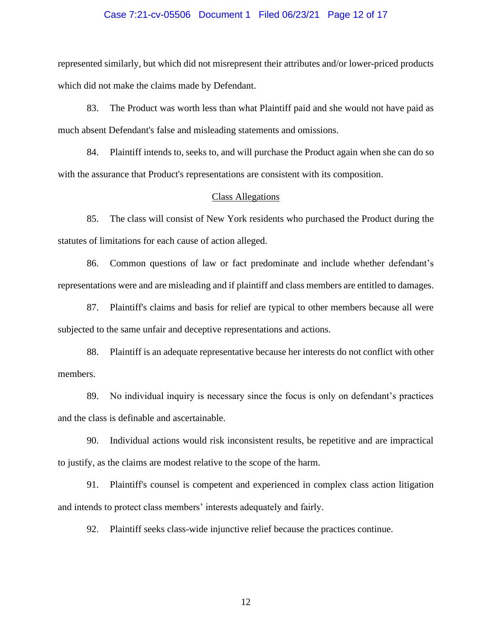### Case 7:21-cv-05506 Document 1 Filed 06/23/21 Page 12 of 17

represented similarly, but which did not misrepresent their attributes and/or lower-priced products which did not make the claims made by Defendant.

83. The Product was worth less than what Plaintiff paid and she would not have paid as much absent Defendant's false and misleading statements and omissions.

84. Plaintiff intends to, seeks to, and will purchase the Product again when she can do so with the assurance that Product's representations are consistent with its composition.

### Class Allegations

85. The class will consist of New York residents who purchased the Product during the statutes of limitations for each cause of action alleged.

86. Common questions of law or fact predominate and include whether defendant's representations were and are misleading and if plaintiff and class members are entitled to damages.

87. Plaintiff's claims and basis for relief are typical to other members because all were subjected to the same unfair and deceptive representations and actions.

88. Plaintiff is an adequate representative because her interests do not conflict with other members.

89. No individual inquiry is necessary since the focus is only on defendant's practices and the class is definable and ascertainable.

90. Individual actions would risk inconsistent results, be repetitive and are impractical to justify, as the claims are modest relative to the scope of the harm.

91. Plaintiff's counsel is competent and experienced in complex class action litigation and intends to protect class members' interests adequately and fairly.

92. Plaintiff seeks class-wide injunctive relief because the practices continue.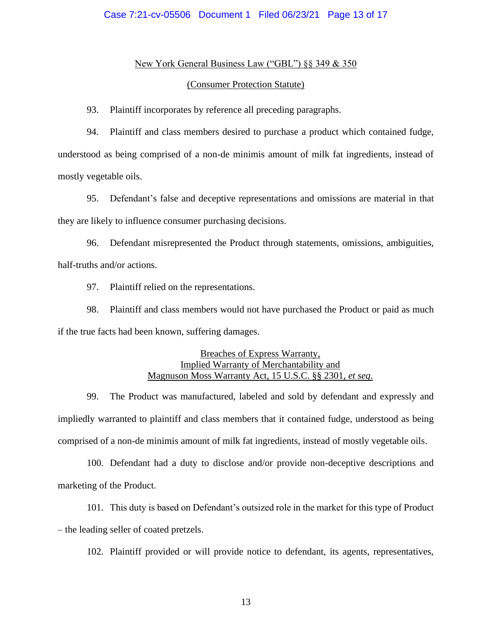# Case 7:21-cv-05506 Document 1 Filed 06/23/21 Page 13 of 17

## New York General Business Law ("GBL") §§ 349 & 350

### (Consumer Protection Statute)

93. Plaintiff incorporates by reference all preceding paragraphs.

94. Plaintiff and class members desired to purchase a product which contained fudge, understood as being comprised of a non-de minimis amount of milk fat ingredients, instead of mostly vegetable oils.

95. Defendant's false and deceptive representations and omissions are material in that they are likely to influence consumer purchasing decisions.

96. Defendant misrepresented the Product through statements, omissions, ambiguities, half-truths and/or actions.

97. Plaintiff relied on the representations.

98. Plaintiff and class members would not have purchased the Product or paid as much if the true facts had been known, suffering damages.

# Breaches of Express Warranty, Implied Warranty of Merchantability and Magnuson Moss Warranty Act, 15 U.S.C. §§ 2301, *et seq*.

99. The Product was manufactured, labeled and sold by defendant and expressly and impliedly warranted to plaintiff and class members that it contained fudge, understood as being comprised of a non-de minimis amount of milk fat ingredients, instead of mostly vegetable oils.

100. Defendant had a duty to disclose and/or provide non-deceptive descriptions and marketing of the Product.

101. This duty is based on Defendant's outsized role in the market for this type of Product – the leading seller of coated pretzels.

102. Plaintiff provided or will provide notice to defendant, its agents, representatives,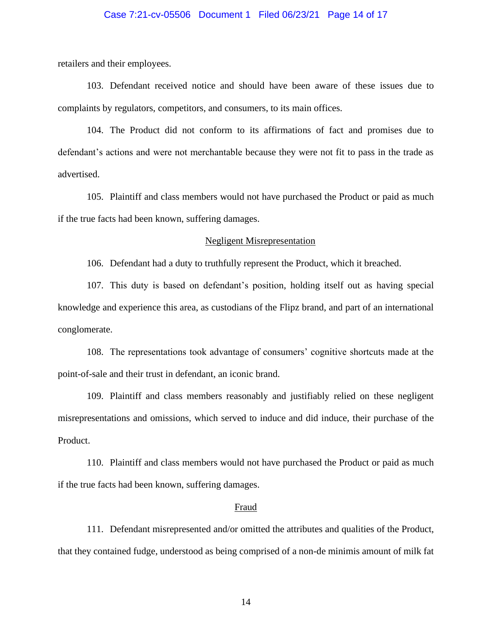# Case 7:21-cv-05506 Document 1 Filed 06/23/21 Page 14 of 17

retailers and their employees.

103. Defendant received notice and should have been aware of these issues due to complaints by regulators, competitors, and consumers, to its main offices.

104. The Product did not conform to its affirmations of fact and promises due to defendant's actions and were not merchantable because they were not fit to pass in the trade as advertised.

105. Plaintiff and class members would not have purchased the Product or paid as much if the true facts had been known, suffering damages.

### Negligent Misrepresentation

106. Defendant had a duty to truthfully represent the Product, which it breached.

107. This duty is based on defendant's position, holding itself out as having special knowledge and experience this area, as custodians of the Flipz brand, and part of an international conglomerate.

108. The representations took advantage of consumers' cognitive shortcuts made at the point-of-sale and their trust in defendant, an iconic brand.

109. Plaintiff and class members reasonably and justifiably relied on these negligent misrepresentations and omissions, which served to induce and did induce, their purchase of the Product.

110. Plaintiff and class members would not have purchased the Product or paid as much if the true facts had been known, suffering damages.

### Fraud

111. Defendant misrepresented and/or omitted the attributes and qualities of the Product, that they contained fudge, understood as being comprised of a non-de minimis amount of milk fat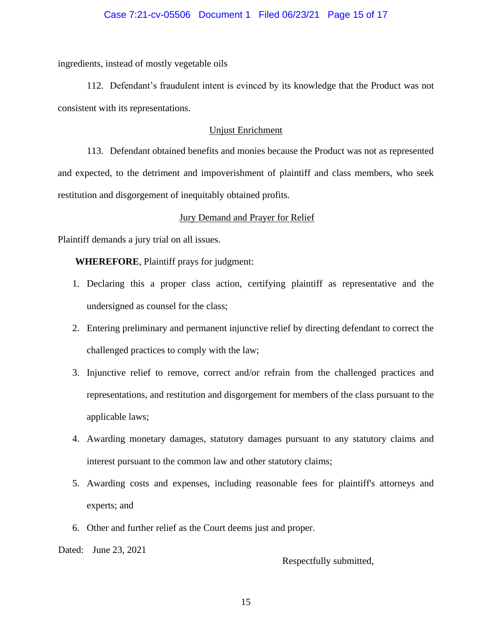# Case 7:21-cv-05506 Document 1 Filed 06/23/21 Page 15 of 17

ingredients, instead of mostly vegetable oils

112. Defendant's fraudulent intent is evinced by its knowledge that the Product was not consistent with its representations.

# Unjust Enrichment

113. Defendant obtained benefits and monies because the Product was not as represented and expected, to the detriment and impoverishment of plaintiff and class members, who seek restitution and disgorgement of inequitably obtained profits.

# Jury Demand and Prayer for Relief

Plaintiff demands a jury trial on all issues.

**WHEREFORE**, Plaintiff prays for judgment:

- 1. Declaring this a proper class action, certifying plaintiff as representative and the undersigned as counsel for the class;
- 2. Entering preliminary and permanent injunctive relief by directing defendant to correct the challenged practices to comply with the law;
- 3. Injunctive relief to remove, correct and/or refrain from the challenged practices and representations, and restitution and disgorgement for members of the class pursuant to the applicable laws;
- 4. Awarding monetary damages, statutory damages pursuant to any statutory claims and interest pursuant to the common law and other statutory claims;
- 5. Awarding costs and expenses, including reasonable fees for plaintiff's attorneys and experts; and
- 6. Other and further relief as the Court deems just and proper.

Dated: June 23, 2021

Respectfully submitted,